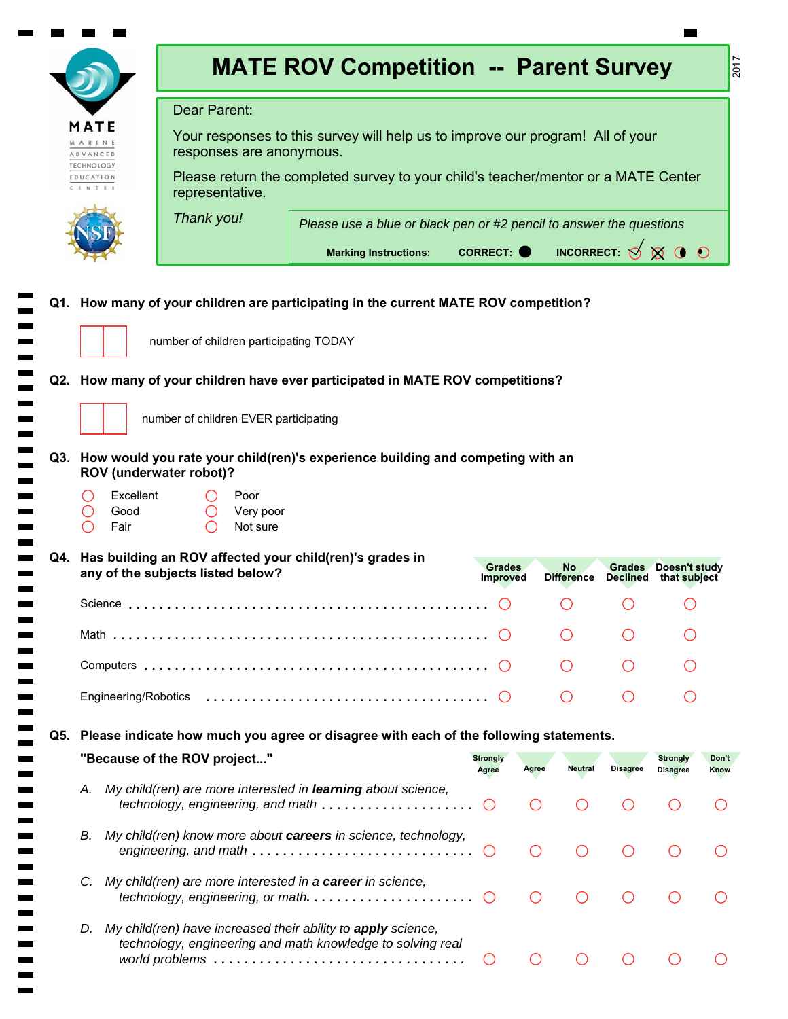|     |                                                                                                                                                                             | <b>MATE ROV Competition -- Parent Survey</b>                                                                                                     |                                                                               |                                             |                                             |                                             |                                               | 2017                 |  |  |  |
|-----|-----------------------------------------------------------------------------------------------------------------------------------------------------------------------------|--------------------------------------------------------------------------------------------------------------------------------------------------|-------------------------------------------------------------------------------|---------------------------------------------|---------------------------------------------|---------------------------------------------|-----------------------------------------------|----------------------|--|--|--|
|     | Dear Parent:                                                                                                                                                                |                                                                                                                                                  |                                                                               |                                             |                                             |                                             |                                               |                      |  |  |  |
|     | MATE<br><b><i>MARINE</i></b><br>ADVANCED                                                                                                                                    | Your responses to this survey will help us to improve our program! All of your<br>responses are anonymous.                                       |                                                                               |                                             |                                             |                                             |                                               |                      |  |  |  |
|     | <b>TECHNOLOGY</b><br>Please return the completed survey to your child's teacher/mentor or a MATE Center<br>EDUCATION<br><b>CENTER</b><br>representative.                    |                                                                                                                                                  |                                                                               |                                             |                                             |                                             |                                               |                      |  |  |  |
|     |                                                                                                                                                                             | Thank you!                                                                                                                                       | Please use a blue or black pen or #2 pencil to answer the questions           |                                             |                                             |                                             |                                               |                      |  |  |  |
|     |                                                                                                                                                                             | <b>Marking Instructions:</b>                                                                                                                     | INCORRECT: $\bigotimes$ $\bigotimes$ $\bigcirc$ $\bigcirc$<br><b>CORRECT:</b> |                                             |                                             |                                             |                                               |                      |  |  |  |
|     | Q1. How many of your children are participating in the current MATE ROV competition?<br>number of children participating TODAY                                              |                                                                                                                                                  |                                                                               |                                             |                                             |                                             |                                               |                      |  |  |  |
|     | Q2. How many of your children have ever participated in MATE ROV competitions?<br>number of children EVER participating                                                     |                                                                                                                                                  |                                                                               |                                             |                                             |                                             |                                               |                      |  |  |  |
|     | Q3. How would you rate your child(ren)'s experience building and competing with an<br>ROV (underwater robot)?<br>Excellent<br>Poor<br>Good<br>Very poor<br>Fair<br>Not sure |                                                                                                                                                  |                                                                               |                                             |                                             |                                             |                                               |                      |  |  |  |
|     |                                                                                                                                                                             | Q4. Has building an ROV affected your child(ren)'s grades in<br>any of the subjects listed below?                                                | Grades<br><b>Improved</b>                                                     |                                             | No<br><b>Difference</b>                     |                                             | Grades Doesn't study<br>Declined that subject |                      |  |  |  |
|     |                                                                                                                                                                             |                                                                                                                                                  |                                                                               |                                             |                                             |                                             |                                               |                      |  |  |  |
|     |                                                                                                                                                                             |                                                                                                                                                  |                                                                               |                                             |                                             |                                             |                                               |                      |  |  |  |
|     |                                                                                                                                                                             |                                                                                                                                                  |                                                                               |                                             |                                             |                                             |                                               |                      |  |  |  |
|     |                                                                                                                                                                             |                                                                                                                                                  |                                                                               |                                             |                                             | $\left(\begin{array}{c} \end{array}\right)$ |                                               |                      |  |  |  |
| Q5. |                                                                                                                                                                             | Please indicate how much you agree or disagree with each of the following statements.                                                            |                                                                               |                                             |                                             |                                             |                                               |                      |  |  |  |
|     |                                                                                                                                                                             | "Because of the ROV project"                                                                                                                     | <b>Strongly</b><br><b>Agree</b>                                               | Agree                                       | <b>Neutral</b>                              | <b>Disagree</b>                             | <b>Strongly</b><br><b>Disagree</b>            | Don't<br><b>Know</b> |  |  |  |
|     | А.                                                                                                                                                                          | My child(ren) are more interested in learning about science,<br>technology, engineering, and math                                                | $\left( \right)$                                                              |                                             | $\left(\begin{array}{c} \end{array}\right)$ |                                             | ( )                                           |                      |  |  |  |
|     | В.                                                                                                                                                                          | My child(ren) know more about careers in science, technology,<br>engineering, and math $\ldots \ldots \ldots \ldots \ldots \ldots \ldots \ldots$ |                                                                               | $\left(\begin{array}{c} \end{array}\right)$ | ◯                                           |                                             | ◯                                             |                      |  |  |  |
|     | C.                                                                                                                                                                          | My child(ren) are more interested in a career in science,                                                                                        |                                                                               | $\left(\begin{array}{c} \end{array}\right)$ | ∩                                           |                                             |                                               |                      |  |  |  |
|     | D.                                                                                                                                                                          | My child(ren) have increased their ability to apply science,<br>technology, engineering and math knowledge to solving real                       | $\left(\right)$                                                               | $($ )                                       | ( )                                         | $($ )                                       | ( )                                           |                      |  |  |  |